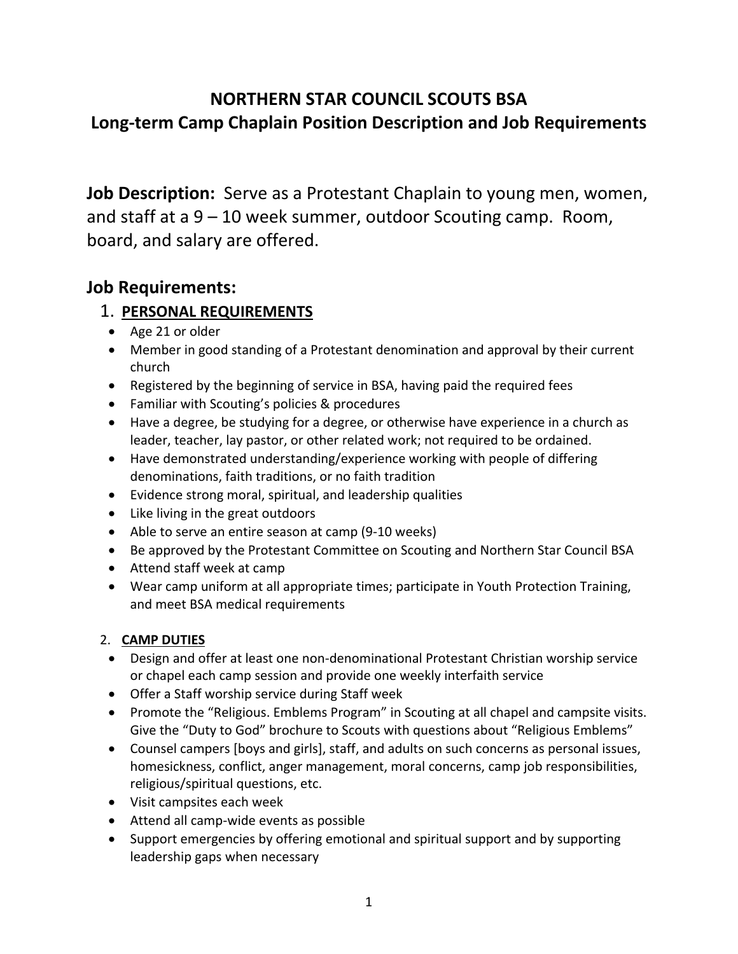# **NORTHERN STAR COUNCIL SCOUTS BSA Long-term Camp Chaplain Position Description and Job Requirements**

**Job Description:** Serve as a Protestant Chaplain to young men, women, and staff at a 9 – 10 week summer, outdoor Scouting camp. Room, board, and salary are offered.

## **Job Requirements:**

### 1. **PERSONAL REQUIREMENTS**

- Age 21 or older
- Member in good standing of a Protestant denomination and approval by their current church
- Registered by the beginning of service in BSA, having paid the required fees
- Familiar with Scouting's policies & procedures
- Have a degree, be studying for a degree, or otherwise have experience in a church as leader, teacher, lay pastor, or other related work; not required to be ordained.
- Have demonstrated understanding/experience working with people of differing denominations, faith traditions, or no faith tradition
- Evidence strong moral, spiritual, and leadership qualities
- Like living in the great outdoors
- Able to serve an entire season at camp (9-10 weeks)
- Be approved by the Protestant Committee on Scouting and Northern Star Council BSA
- Attend staff week at camp
- Wear camp uniform at all appropriate times; participate in Youth Protection Training, and meet BSA medical requirements

#### 2. **CAMP DUTIES**

- Design and offer at least one non-denominational Protestant Christian worship service or chapel each camp session and provide one weekly interfaith service
- Offer a Staff worship service during Staff week
- Promote the "Religious. Emblems Program" in Scouting at all chapel and campsite visits. Give the "Duty to God" brochure to Scouts with questions about "Religious Emblems"
- Counsel campers [boys and girls], staff, and adults on such concerns as personal issues, homesickness, conflict, anger management, moral concerns, camp job responsibilities, religious/spiritual questions, etc.
- Visit campsites each week
- Attend all camp-wide events as possible
- Support emergencies by offering emotional and spiritual support and by supporting leadership gaps when necessary